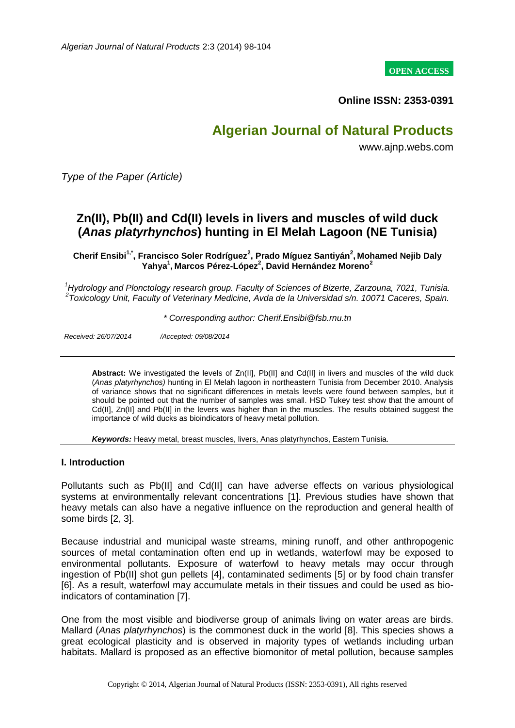**OPEN ACCESS**

**Online ISSN: 2353-0391**

# **Algerian Journal of Natural Products**

www.ajnp.webs.com

*Type of the Paper (Article)*

# **Zn(II), Pb(II) and Cd(II) levels in livers and muscles of wild duck (***Anas platyrhynchos***) hunting in El Melah Lagoon (NE Tunisia)**

**Cherif Ensibi1,\*, Francisco Soler Rodríguez<sup>2</sup> , Prado Míguez Santiyán<sup>2</sup> , Mohamed Nejib Daly Yahya<sup>1</sup> , Marcos Pérez-López<sup>2</sup> , David Hernández Moreno<sup>2</sup>**

*<sup>1</sup>Hydrology and Plonctology research group. Faculty of Sciences of Bizerte, Zarzouna, 7021, Tunisia. 2 Toxicology Unit, Faculty of Veterinary Medicine, Avda de la Universidad s/n. 10071 Caceres, Spain.*

*\* Corresponding author: Cherif.Ensibi@fsb.rnu.tn*

*Received: 26/07/2014 /Accepted: 09/08/2014*

**Abstract:** We investigated the levels of Zn(II], Pb(II] and Cd(II] in livers and muscles of the wild duck (*Anas platyrhynchos)* hunting in El Melah lagoon in northeastern Tunisia from December 2010. Analysis of variance shows that no significant differences in metals levels were found between samples, but it should be pointed out that the number of samples was small. HSD Tukey test show that the amount of Cd(II], Zn(II] and Pb(II] in the levers was higher than in the muscles. The results obtained suggest the importance of wild ducks as bioindicators of heavy metal pollution.

*Keywords:* Heavy metal, breast muscles, livers, Anas platyrhynchos, Eastern Tunisia.

#### **I. Introduction**

Pollutants such as Pb(II] and Cd(II] can have adverse effects on various physiological systems at environmentally relevant concentrations [1]. Previous studies have shown that heavy metals can also have a negative influence on the reproduction and general health of some birds [2, 3].

Because industrial and municipal waste streams, mining runoff, and other anthropogenic sources of metal contamination often end up in wetlands, waterfowl may be exposed to environmental pollutants. Exposure of waterfowl to heavy metals may occur through ingestion of Pb(II] shot gun pellets [4], contaminated sediments [5] or by food chain transfer [6]. As a result, waterfowl may accumulate metals in their tissues and could be used as bioindicators of contamination [7].

One from the most visible and biodiverse group of animals living on water areas are birds. Mallard (*Anas platyrhynchos*) is the commonest duck in the world [8]. This species shows a great ecological plasticity and is observed in majority types of wetlands including urban habitats. Mallard is proposed as an effective biomonitor of metal pollution, because samples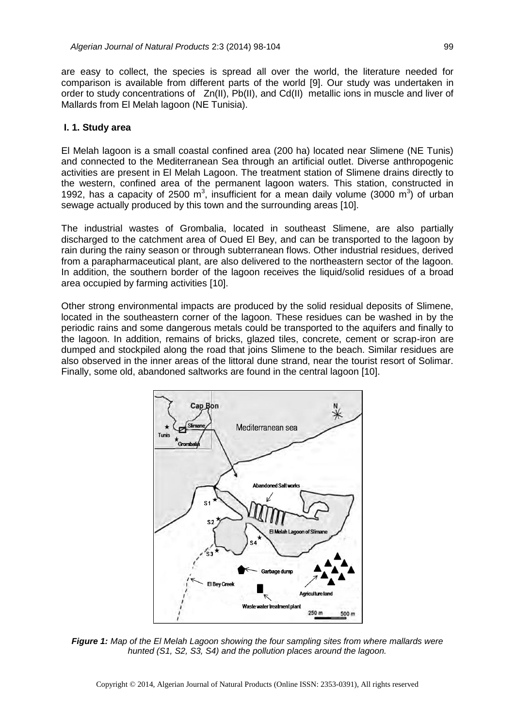are easy to collect, the species is spread all over the world, the literature needed for comparison is available from different parts of the world [9]. Our study was undertaken in order to study concentrations of Zn(II), Pb(II), and Cd(II) metallic ions in muscle and liver of Mallards from El Melah lagoon (NE Tunisia).

#### **I. 1. Study area**

El Melah lagoon is a small coastal confined area (200 ha) located near Slimene (NE Tunis) and connected to the Mediterranean Sea through an artificial outlet. Diverse anthropogenic activities are present in El Melah Lagoon. The treatment station of Slimene drains directly to the western, confined area of the permanent lagoon waters. This station, constructed in 1992, has a capacity of 2500 m<sup>3</sup>, insufficient for a mean daily volume (3000 m<sup>3</sup>) of urban sewage actually produced by this town and the surrounding areas [10].

The industrial wastes of Grombalia, located in southeast Slimene, are also partially discharged to the catchment area of Oued El Bey, and can be transported to the lagoon by rain during the rainy season or through subterranean flows. Other industrial residues, derived from a parapharmaceutical plant, are also delivered to the northeastern sector of the lagoon. In addition, the southern border of the lagoon receives the liquid/solid residues of a broad area occupied by farming activities [10].

Other strong environmental impacts are produced by the solid residual deposits of Slimene, located in the southeastern corner of the lagoon. These residues can be washed in by the periodic rains and some dangerous metals could be transported to the aquifers and finally to the lagoon. In addition, remains of bricks, glazed tiles, concrete, cement or scrap-iron are dumped and stockpiled along the road that joins Slimene to the beach. Similar residues are also observed in the inner areas of the littoral dune strand, near the tourist resort of Solimar. Finally, some old, abandoned saltworks are found in the central lagoon [10].



*Figure 1: Map of the El Melah Lagoon showing the four sampling sites from where mallards were hunted (S1, S2, S3, S4) and the pollution places around the lagoon.*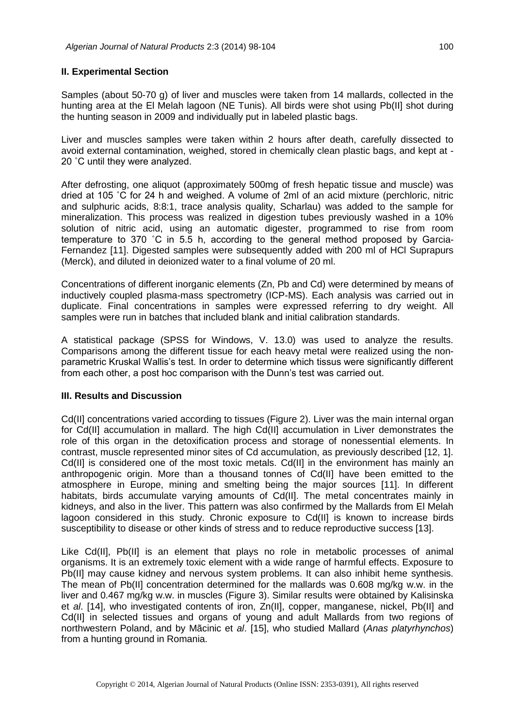#### **II. Experimental Section**

Samples (about 50-70 g) of liver and muscles were taken from 14 mallards, collected in the hunting area at the El Melah lagoon (NE Tunis). All birds were shot using Pb(II] shot during the hunting season in 2009 and individually put in labeled plastic bags.

Liver and muscles samples were taken within 2 hours after death, carefully dissected to avoid external contamination, weighed, stored in chemically clean plastic bags, and kept at - 20 ˚C until they were analyzed.

After defrosting, one aliquot (approximately 500mg of fresh hepatic tissue and muscle) was dried at 105 ˚C for 24 h and weighed. A volume of 2ml of an acid mixture (perchloric, nitric and sulphuric acids, 8:8:1, trace analysis quality, Scharlau) was added to the sample for mineralization. This process was realized in digestion tubes previously washed in a 10% solution of nitric acid, using an automatic digester, programmed to rise from room temperature to 370 ˚C in 5.5 h, according to the general method proposed by Garcia-Fernandez [11]. Digested samples were subsequently added with 200 ml of HCl Suprapurs (Merck), and diluted in deionized water to a final volume of 20 ml.

Concentrations of different inorganic elements (Zn, Pb and Cd) were determined by means of inductively coupled plasma-mass spectrometry (ICP-MS). Each analysis was carried out in duplicate. Final concentrations in samples were expressed referring to dry weight. All samples were run in batches that included blank and initial calibration standards.

A statistical package (SPSS for Windows, V. 13.0) was used to analyze the results. Comparisons among the different tissue for each heavy metal were realized using the nonparametric Kruskal Wallis's test. In order to determine which tissus were significantly different from each other, a post hoc comparison with the Dunn's test was carried out.

#### **III. Results and Discussion**

Cd(II] concentrations varied according to tissues (Figure 2). Liver was the main internal organ for Cd(II] accumulation in mallard. The high Cd(II] accumulation in Liver demonstrates the role of this organ in the detoxification process and storage of nonessential elements. In contrast, muscle represented minor sites of Cd accumulation, as previously described [12, 1]. Cd(II] is considered one of the most toxic metals. Cd(II] in the environment has mainly an anthropogenic origin. More than a thousand tonnes of Cd(II] have been emitted to the atmosphere in Europe, mining and smelting being the major sources [11]. In different habitats, birds accumulate varying amounts of Cd(II]. The metal concentrates mainly in kidneys, and also in the liver. This pattern was also confirmed by the Mallards from El Melah lagoon considered in this study. Chronic exposure to Cd(II] is known to increase birds susceptibility to disease or other kinds of stress and to reduce reproductive success [13].

Like Cd(II], Pb(II] is an element that plays no role in metabolic processes of animal organisms. It is an extremely toxic element with a wide range of harmful effects. Exposure to Pb(II] may cause kidney and nervous system problems. It can also inhibit heme synthesis. The mean of Pb(II] concentration determined for the mallards was 0.608 mg/kg w.w. in the liver and 0.467 mg/kg w.w. in muscles (Figure 3). Similar results were obtained by Kalisinska et *al*. [14], who investigated contents of iron, Zn(II], copper, manganese, nickel, Pb(II] and Cd(II] in selected tissues and organs of young and adult Mallards from two regions of northwestern Poland, and by Mãcinic et *al*. [15], who studied Mallard (*Anas platyrhynchos*) from a hunting ground in Romania.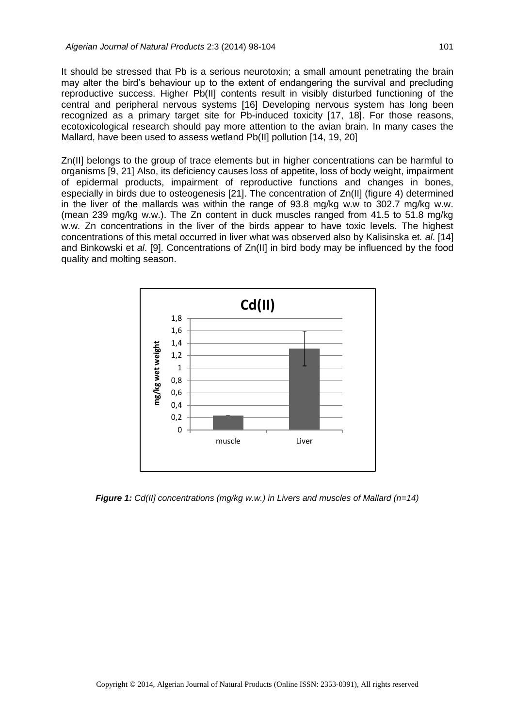It should be stressed that Pb is a serious neurotoxin; a small amount penetrating the brain may alter the bird's behaviour up to the extent of endangering the survival and precluding reproductive success. Higher Pb(II] contents result in visibly disturbed functioning of the central and peripheral nervous systems [16] Developing nervous system has long been recognized as a primary target site for Pb-induced toxicity [17, 18]. For those reasons, ecotoxicological research should pay more attention to the avian brain. In many cases the Mallard, have been used to assess wetland Pb(II] pollution [14, 19, 20]

Zn(II] belongs to the group of trace elements but in higher concentrations can be harmful to organisms [9, 21] Also, its deficiency causes loss of appetite, loss of body weight, impairment of epidermal products, impairment of reproductive functions and changes in bones, especially in birds due to osteogenesis [21]. The concentration of Zn(II] (figure 4) determined in the liver of the mallards was within the range of 93.8 mg/kg w.w to 302.7 mg/kg w.w. (mean 239 mg/kg w.w.). The Zn content in duck muscles ranged from 41.5 to 51.8 mg/kg w.w. Zn concentrations in the liver of the birds appear to have toxic levels. The highest concentrations of this metal occurred in liver what was observed also by Kalisinska et*. al*. [14] and Binkowski et *al*. [9]. Concentrations of Zn(II] in bird body may be influenced by the food quality and molting season.



*Figure 1: Cd(II] concentrations (mg/kg w.w.) in Livers and muscles of Mallard (n=14)*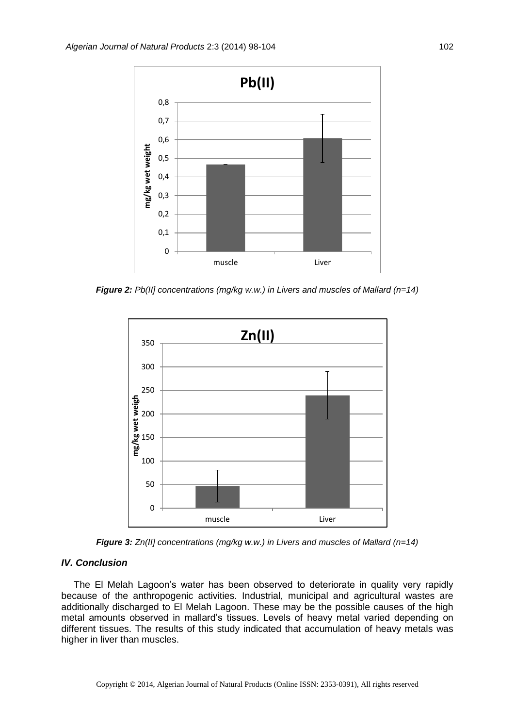

*Figure 2: Pb(II] concentrations (mg/kg w.w.) in Livers and muscles of Mallard (n=14)*



*Figure 3: Zn(II] concentrations (mg/kg w.w.) in Livers and muscles of Mallard (n=14)*

## *IV. Conclusion*

The El Melah Lagoon's water has been observed to deteriorate in quality very rapidly because of the anthropogenic activities. Industrial, municipal and agricultural wastes are additionally discharged to El Melah Lagoon. These may be the possible causes of the high metal amounts observed in mallard's tissues. Levels of heavy metal varied depending on different tissues. The results of this study indicated that accumulation of heavy metals was higher in liver than muscles.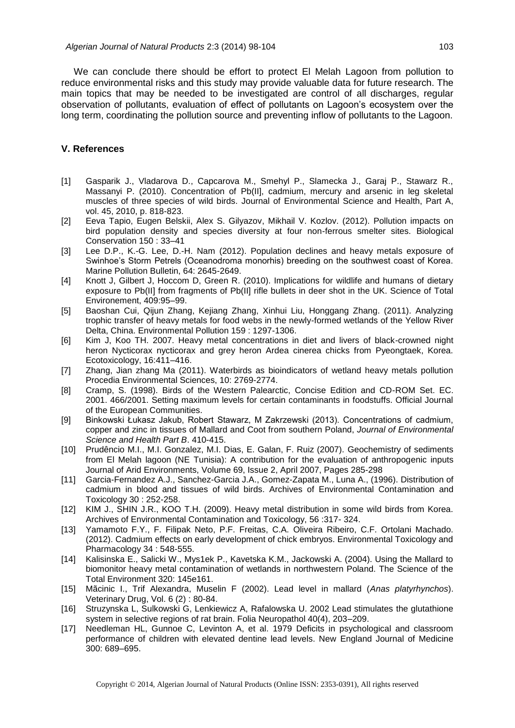We can conclude there should be effort to protect El Melah Lagoon from pollution to reduce environmental risks and this study may provide valuable data for future research. The main topics that may be needed to be investigated are control of all discharges, regular observation of pollutants, evaluation of effect of pollutants on Lagoon's ecosystem over the long term, coordinating the pollution source and preventing inflow of pollutants to the Lagoon.

### **V. References**

- [1] Gasparik J., Vladarova D., Capcarova M., Smehyl P., Slamecka J., Garaj P., Stawarz R., Massanyi P. (2010). Concentration of Pb(II], cadmium, mercury and arsenic in leg skeletal muscles of three species of wild birds. Journal of Environmental Science and Health, Part A, vol. 45, 2010, p. 818-823.
- [2] Eeva Tapio, Eugen Belskii, Alex S. Gilyazov, Mikhail V. Kozlov. (2012). Pollution impacts on bird population density and species diversity at four non-ferrous smelter sites. Biological Conservation 150 : 33–41
- [3] Lee D.P., K.-G. Lee, D.-H. Nam (2012). Population declines and heavy metals exposure of Swinhoe's Storm Petrels (Oceanodroma monorhis) breeding on the southwest coast of Korea. Marine Pollution Bulletin, 64: 2645-2649.
- [4] Knott J, Gilbert J, Hoccom D, Green R. (2010). Implications for wildlife and humans of dietary exposure to Pb(II] from fragments of Pb(II] rifle bullets in deer shot in the UK. Science of Total Environement, 409:95–99.
- [5] Baoshan Cui, Qijun Zhang, Kejiang Zhang, Xinhui Liu, Honggang Zhang. (2011). Analyzing trophic transfer of heavy metals for food webs in the newly-formed wetlands of the Yellow River Delta, China. Environmental Pollution 159 : 1297-1306.
- [6] Kim J, Koo TH. 2007. Heavy metal concentrations in diet and livers of black-crowned night heron Nycticorax nycticorax and grey heron Ardea cinerea chicks from Pyeongtaek, Korea. Ecotoxicology, 16:411–416.
- [7] Zhang, Jian zhang Ma (2011). Waterbirds as bioindicators of wetland heavy metals pollution Procedia Environmental Sciences, 10: 2769-2774.
- [8] Cramp, S. (1998). Birds of the Western Palearctic, Concise Edition and CD-ROM Set. EC. 2001. 466/2001. Setting maximum levels for certain contaminants in foodstuffs. Official Journal of the European Communities.
- [9] Binkowski Łukasz Jakub, Robert Stawarz, M Zakrzewski (2013). Concentrations of cadmium, copper and zinc in tissues of Mallard and Coot from southern Poland, *Journal of Environmental Science and Health Part B*. 410-415.
- [10] Prudêncio M.I., M.I. Gonzalez, M.I. Dias, E. Galan, F. Ruiz (2007). Geochemistry of sediments from El Melah lagoon (NE Tunisia): A contribution for the evaluation of anthropogenic inputs Journal of Arid Environments, Volume 69, Issue 2, April 2007, Pages 285-298
- [11] Garcia-Fernandez A.J., Sanchez-Garcia J.A., Gomez-Zapata M., Luna A., (1996). Distribution of cadmium in blood and tissues of wild birds. Archives of Environmental Contamination and Toxicology 30 : 252-258.
- [12] KIM J., SHIN J.R., KOO T.H. (2009). Heavy metal distribution in some wild birds from Korea. Archives of Environmental Contamination and Toxicology, 56 :317- 324.
- [13] Yamamoto F.Y., F. Filipak Neto, P.F. Freitas, C.A. Oliveira Ribeiro, C.F. Ortolani Machado. (2012). Cadmium effects on early development of chick embryos. Environmental Toxicology and Pharmacology 34 : 548-555.
- [14] Kalisinska E., Salicki W., Mys1ek P., Kavetska K.M., Jackowski A. (2004). Using the Mallard to biomonitor heavy metal contamination of wetlands in northwestern Poland. The Science of the Total Environment 320: 145e161.
- [15] Mãcinic I., Trif Alexandra, Muselin F (2002). Lead level in mallard (*Anas platyrhynchos*). Veterinary Drug, Vol. 6 (2) : 80-84.
- [16] Struzynska L, Sulkowski G, Lenkiewicz A, Rafalowska U. 2002 Lead stimulates the glutathione system in selective regions of rat brain. Folia Neuropathol 40(4), 203–209.
- [17] Needleman HL, Gunnoe C, Levinton A, et al. 1979 Deficits in psychological and classroom performance of children with elevated dentine lead levels. New England Journal of Medicine 300: 689–695.